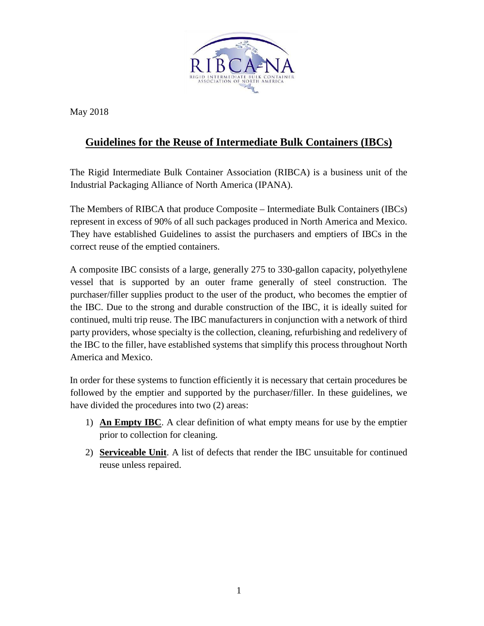

May 2018

## **Guidelines for the Reuse of Intermediate Bulk Containers (IBCs)**

The Rigid Intermediate Bulk Container Association (RIBCA) is a business unit of the Industrial Packaging Alliance of North America (IPANA).

The Members of RIBCA that produce Composite – Intermediate Bulk Containers (IBCs) represent in excess of 90% of all such packages produced in North America and Mexico. They have established Guidelines to assist the purchasers and emptiers of IBCs in the correct reuse of the emptied containers.

A composite IBC consists of a large, generally 275 to 330-gallon capacity, polyethylene vessel that is supported by an outer frame generally of steel construction. The purchaser/filler supplies product to the user of the product, who becomes the emptier of the IBC. Due to the strong and durable construction of the IBC, it is ideally suited for continued, multi trip reuse. The IBC manufacturers in conjunction with a network of third party providers, whose specialty is the collection, cleaning, refurbishing and redelivery of the IBC to the filler, have established systems that simplify this process throughout North America and Mexico.

In order for these systems to function efficiently it is necessary that certain procedures be followed by the emptier and supported by the purchaser/filler. In these guidelines, we have divided the procedures into two (2) areas:

- 1) **An Empty IBC**. A clear definition of what empty means for use by the emptier prior to collection for cleaning.
- 2) **Serviceable Unit**. A list of defects that render the IBC unsuitable for continued reuse unless repaired.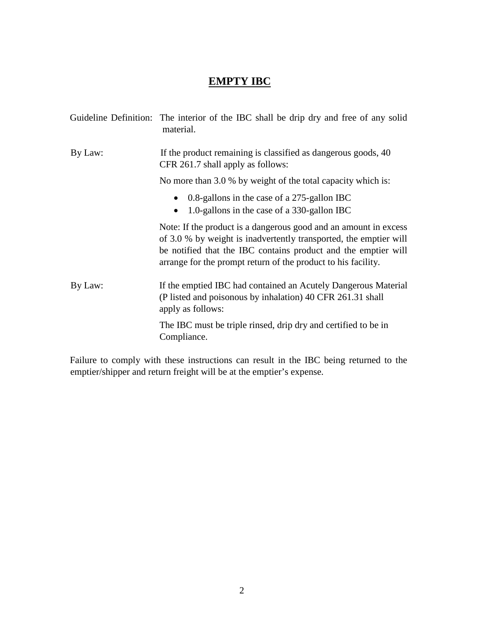## **EMPTY IBC**

|         | Guideline Definition: The interior of the IBC shall be drip dry and free of any solid<br>material.                                                                                                                                                                       |
|---------|--------------------------------------------------------------------------------------------------------------------------------------------------------------------------------------------------------------------------------------------------------------------------|
| By Law: | If the product remaining is classified as dangerous goods, 40<br>CFR 261.7 shall apply as follows:                                                                                                                                                                       |
|         | No more than 3.0 % by weight of the total capacity which is:                                                                                                                                                                                                             |
|         | 0.8-gallons in the case of a 275-gallon IBC<br>1.0-gallons in the case of a 330-gallon IBC<br>$\bullet$                                                                                                                                                                  |
|         | Note: If the product is a dangerous good and an amount in excess<br>of 3.0 % by weight is inadvertently transported, the emptier will<br>be notified that the IBC contains product and the emptier will<br>arrange for the prompt return of the product to his facility. |
| By Law: | If the emptied IBC had contained an Acutely Dangerous Material<br>(P listed and poisonous by inhalation) 40 CFR 261.31 shall<br>apply as follows:                                                                                                                        |
|         | The IBC must be triple rinsed, drip dry and certified to be in<br>Compliance.                                                                                                                                                                                            |

Failure to comply with these instructions can result in the IBC being returned to the emptier/shipper and return freight will be at the emptier's expense.